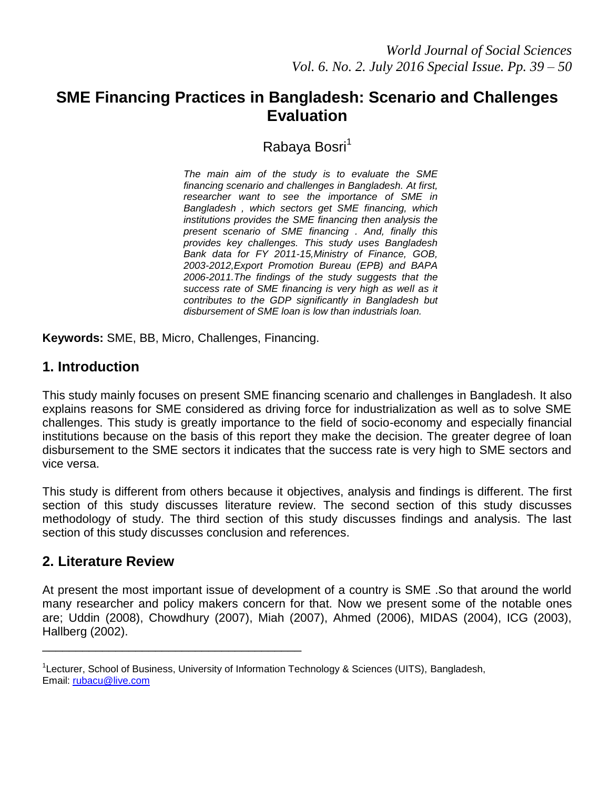# **SME Financing Practices in Bangladesh: Scenario and Challenges Evaluation**

Rabaya Bosri<sup>1</sup>

*The main aim of the study is to evaluate the SME financing scenario and challenges in Bangladesh. At first, researcher want to see the importance of SME in Bangladesh , which sectors get SME financing, which institutions provides the SME financing then analysis the present scenario of SME financing . And, finally this provides key challenges. This study uses Bangladesh Bank data for FY 2011-15,Ministry of Finance, GOB, 2003-2012,Export Promotion Bureau (EPB) and BAPA 2006-2011.The findings of the study suggests that the success rate of SME financing is very high as well as it contributes to the GDP significantly in Bangladesh but disbursement of SME loan is low than industrials loan.*

**Keywords:** SME, BB, Micro, Challenges, Financing.

\_\_\_\_\_\_\_\_\_\_\_\_\_\_\_\_\_\_\_\_\_\_\_\_\_\_\_\_\_\_\_\_\_\_\_\_\_\_\_

# **1. Introduction**

This study mainly focuses on present SME financing scenario and challenges in Bangladesh. It also explains reasons for SME considered as driving force for industrialization as well as to solve SME challenges. This study is greatly importance to the field of socio-economy and especially financial institutions because on the basis of this report they make the decision. The greater degree of loan disbursement to the SME sectors it indicates that the success rate is very high to SME sectors and vice versa.

This study is different from others because it objectives, analysis and findings is different. The first section of this study discusses literature review. The second section of this study discusses methodology of study. The third section of this study discusses findings and analysis. The last section of this study discusses conclusion and references.

# **2. Literature Review**

At present the most important issue of development of a country is SME .So that around the world many researcher and policy makers concern for that. Now we present some of the notable ones are; Uddin (2008), Chowdhury (2007), Miah (2007), Ahmed (2006), MIDAS (2004), ICG (2003), Hallberg (2002).

<sup>&</sup>lt;sup>1</sup>Lecturer, School of Business, University of Information Technology & Sciences (UITS), Bangladesh, Email: [rubacu@live.com](mailto:rubacu@live.com)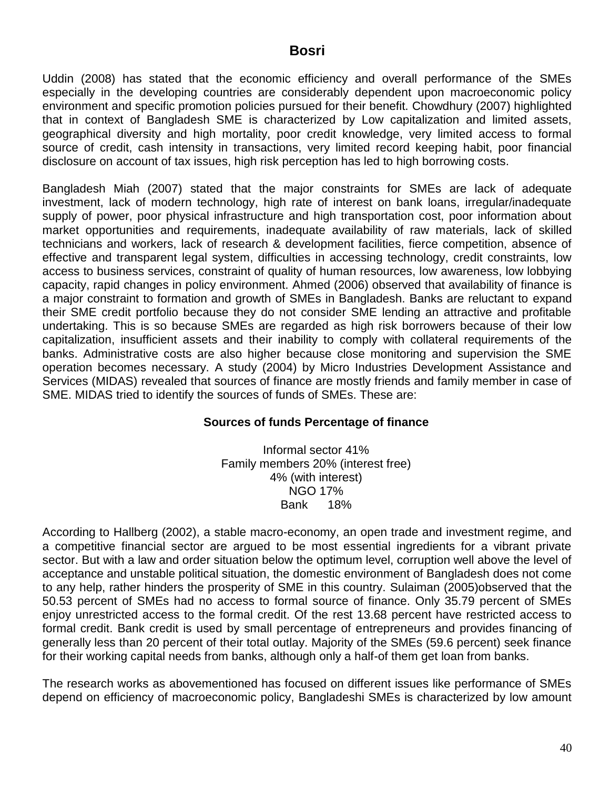Uddin (2008) has stated that the economic efficiency and overall performance of the SMEs especially in the developing countries are considerably dependent upon macroeconomic policy environment and specific promotion policies pursued for their benefit. Chowdhury (2007) highlighted that in context of Bangladesh SME is characterized by Low capitalization and limited assets, geographical diversity and high mortality, poor credit knowledge, very limited access to formal source of credit, cash intensity in transactions, very limited record keeping habit, poor financial disclosure on account of tax issues, high risk perception has led to high borrowing costs.

Bangladesh Miah (2007) stated that the major constraints for SMEs are lack of adequate investment, lack of modern technology, high rate of interest on bank loans, irregular/inadequate supply of power, poor physical infrastructure and high transportation cost, poor information about market opportunities and requirements, inadequate availability of raw materials, lack of skilled technicians and workers, lack of research & development facilities, fierce competition, absence of effective and transparent legal system, difficulties in accessing technology, credit constraints, low access to business services, constraint of quality of human resources, low awareness, low lobbying capacity, rapid changes in policy environment. Ahmed (2006) observed that availability of finance is a major constraint to formation and growth of SMEs in Bangladesh. Banks are reluctant to expand their SME credit portfolio because they do not consider SME lending an attractive and profitable undertaking. This is so because SMEs are regarded as high risk borrowers because of their low capitalization, insufficient assets and their inability to comply with collateral requirements of the banks. Administrative costs are also higher because close monitoring and supervision the SME operation becomes necessary. A study (2004) by Micro Industries Development Assistance and Services (MIDAS) revealed that sources of finance are mostly friends and family member in case of SME. MIDAS tried to identify the sources of funds of SMEs. These are:

### **Sources of funds Percentage of finance**

Informal sector 41% Family members 20% (interest free) 4% (with interest) NGO 17% Bank 18%

According to Hallberg (2002), a stable macro-economy, an open trade and investment regime, and a competitive financial sector are argued to be most essential ingredients for a vibrant private sector. But with a law and order situation below the optimum level, corruption well above the level of acceptance and unstable political situation, the domestic environment of Bangladesh does not come to any help, rather hinders the prosperity of SME in this country. Sulaiman (2005)observed that the 50.53 percent of SMEs had no access to formal source of finance. Only 35.79 percent of SMEs enjoy unrestricted access to the formal credit. Of the rest 13.68 percent have restricted access to formal credit. Bank credit is used by small percentage of entrepreneurs and provides financing of generally less than 20 percent of their total outlay. Majority of the SMEs (59.6 percent) seek finance for their working capital needs from banks, although only a half-of them get loan from banks.

The research works as abovementioned has focused on different issues like performance of SMEs depend on efficiency of macroeconomic policy, Bangladeshi SMEs is characterized by low amount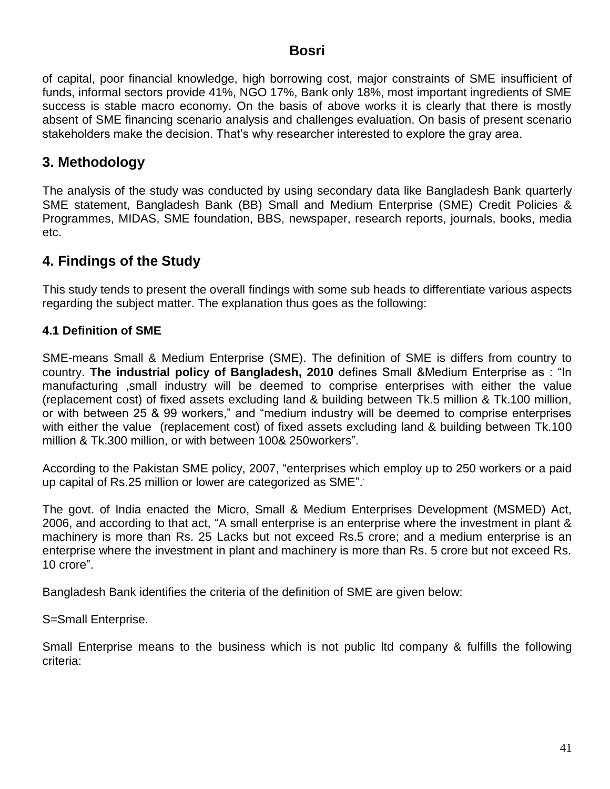of capital, poor financial knowledge, high borrowing cost, major constraints of SME insufficient of funds, informal sectors provide 41%, NGO 17%, Bank only 18%, most important ingredients of SME success is stable macro economy. On the basis of above works it is clearly that there is mostly absent of SME financing scenario analysis and challenges evaluation. On basis of present scenario stakeholders make the decision. That"s why researcher interested to explore the gray area.

# **3. Methodology**

The analysis of the study was conducted by using secondary data like Bangladesh Bank quarterly SME statement, Bangladesh Bank (BB) Small and Medium Enterprise (SME) Credit Policies & Programmes, MIDAS, SME foundation, BBS, newspaper, research reports, journals, books, media etc.

# **4. Findings of the Study**

This study tends to present the overall findings with some sub heads to differentiate various aspects regarding the subject matter. The explanation thus goes as the following:

## **4.1 Definition of SME**

SME-means Small & Medium Enterprise (SME). The definition of SME is differs from country to country. **The industrial policy of Bangladesh, 2010** defines Small &Medium Enterprise as : "In manufacturing ,small industry will be deemed to comprise enterprises with either the value (replacement cost) of fixed assets excluding land & building between Tk.5 million & Tk.100 million, or with between 25 & 99 workers," and "medium industry will be deemed to comprise enterprises with either the value (replacement cost) of fixed assets excluding land & building between Tk.100 million & Tk.300 million, or with between 100& 250workers".

According to the Pakistan SME policy, 2007, "enterprises which employ up to 250 workers or a paid up capital of Rs.25 million or lower are categorized as SME". .

The govt. of India enacted the Micro, Small & Medium Enterprises Development (MSMED) Act, 2006, and according to that act, "A small enterprise is an enterprise where the investment in plant & machinery is more than Rs. 25 Lacks but not exceed Rs.5 crore; and a medium enterprise is an enterprise where the investment in plant and machinery is more than Rs. 5 crore but not exceed Rs. 10 crore".

Bangladesh Bank identifies the criteria of the definition of SME are given below:

S=Small Enterprise.

Small Enterprise means to the business which is not public ltd company & fulfills the following criteria: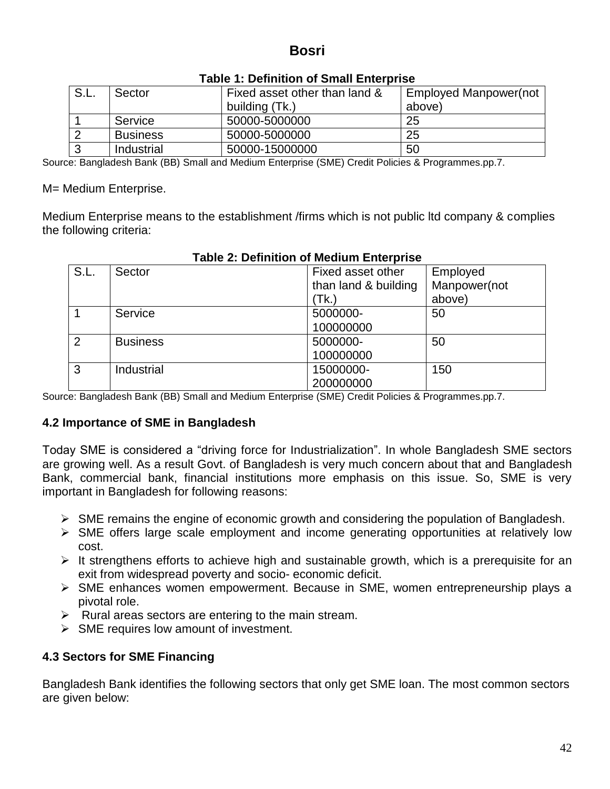| $^{\circ}$ S.L. | Sector          | Fixed asset other than land & | <b>Employed Manpower(not</b> |
|-----------------|-----------------|-------------------------------|------------------------------|
|                 |                 | building (Tk.)                | above)                       |
|                 | Service         | 50000-5000000                 | 25                           |
|                 | <b>Business</b> | 50000-5000000                 | 25                           |
|                 | Industrial      | 50000-15000000                | 50                           |

#### **Table 1: Definition of Small Enterprise**

Source: Bangladesh Bank (BB) Small and Medium Enterprise (SME) Credit Policies & Programmes.pp.7.

M= Medium Enterprise.

Medium Enterprise means to the establishment /firms which is not public ltd company & complies the following criteria:

| S.L. | Sector          | Fixed asset other    | Employed     |
|------|-----------------|----------------------|--------------|
|      |                 | than land & building | Manpower(not |
|      |                 | (Tk.)                | above)       |
|      | Service         | 5000000-             | 50           |
|      |                 | 100000000            |              |
| 2    | <b>Business</b> | 5000000-             | 50           |
|      |                 | 100000000            |              |
| 3    | Industrial      | 15000000-            | 150          |
|      |                 | 200000000            |              |

## **Table 2: Definition of Medium Enterprise**

Source: Bangladesh Bank (BB) Small and Medium Enterprise (SME) Credit Policies & Programmes.pp.7.

### **4.2 Importance of SME in Bangladesh**

Today SME is considered a "driving force for Industrialization". In whole Bangladesh SME sectors are growing well. As a result Govt. of Bangladesh is very much concern about that and Bangladesh Bank, commercial bank, financial institutions more emphasis on this issue. So, SME is very important in Bangladesh for following reasons:

- $\triangleright$  SME remains the engine of economic growth and considering the population of Bangladesh.
- $\triangleright$  SME offers large scale employment and income generating opportunities at relatively low cost.
- $\triangleright$  It strengthens efforts to achieve high and sustainable growth, which is a prerequisite for an exit from widespread poverty and socio- economic deficit.
- SME enhances women empowerment. Because in SME, women entrepreneurship plays a pivotal role.
- $\triangleright$  Rural areas sectors are entering to the main stream.
- $\triangleright$  SME requires low amount of investment.

# **4.3 Sectors for SME Financing**

Bangladesh Bank identifies the following sectors that only get SME loan. The most common sectors are given below: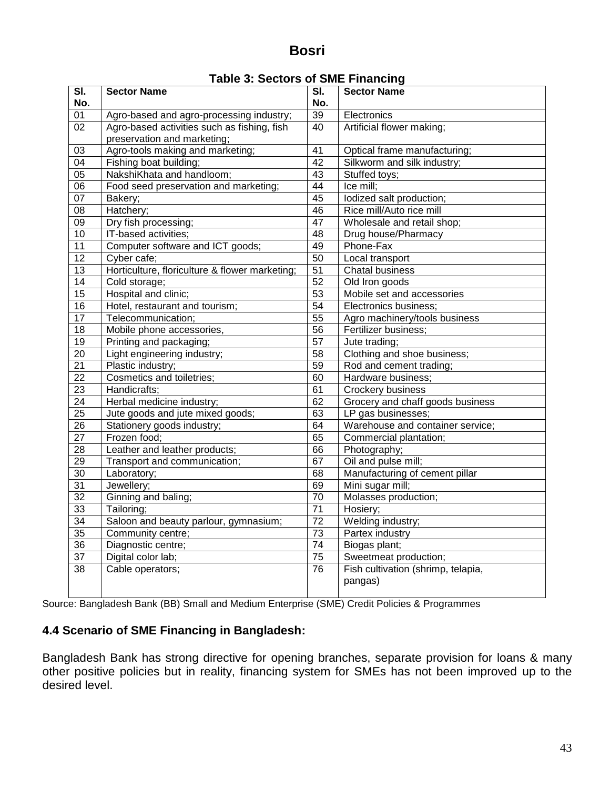|                 |                                                |                 | A VALET RRHVIIY                    |
|-----------------|------------------------------------------------|-----------------|------------------------------------|
| SI.<br>No.      | <b>Sector Name</b>                             | SI.<br>No.      | <b>Sector Name</b>                 |
| 01              | Agro-based and agro-processing industry;       | 39              | Electronics                        |
| 02              | Agro-based activities such as fishing, fish    | 40              | Artificial flower making;          |
|                 | preservation and marketing;                    |                 |                                    |
| 03              | Agro-tools making and marketing;               | 41              | Optical frame manufacturing;       |
| $\overline{04}$ | Fishing boat building;                         | 42              | Silkworm and silk industry;        |
| $\overline{05}$ | NakshiKhata and handloom;                      | 43              | Stuffed toys;                      |
| $\overline{06}$ | Food seed preservation and marketing;          | $\overline{44}$ | Ice mill;                          |
| 07              | Bakery;                                        | 45              | lodized salt production;           |
| $\overline{08}$ | Hatchery;                                      | $\overline{46}$ | Rice mill/Auto rice mill           |
| $\overline{09}$ | Dry fish processing;                           | $\overline{47}$ | Wholesale and retail shop;         |
| 10              | IT-based activities;                           | 48              | Drug house/Pharmacy                |
| $\overline{11}$ | Computer software and ICT goods;               | 49              | Phone-Fax                          |
| 12              | Cyber cafe;                                    | 50              | Local transport                    |
| $\overline{13}$ | Horticulture, floriculture & flower marketing; | $\overline{51}$ | <b>Chatal business</b>             |
| 14              | Cold storage;                                  | 52              | Old Iron goods                     |
| $\overline{15}$ | Hospital and clinic;                           | $\overline{53}$ | Mobile set and accessories         |
| $\overline{16}$ | Hotel, restaurant and tourism;                 | $\overline{54}$ | Electronics business;              |
| $\overline{17}$ | Telecommunication;                             | $\overline{55}$ | Agro machinery/tools business      |
| $\overline{18}$ | Mobile phone accessories,                      | $\overline{56}$ | Fertilizer business;               |
| $\overline{19}$ | Printing and packaging;                        | $\overline{57}$ | Jute trading;                      |
| $\overline{20}$ | Light engineering industry;                    | 58              | Clothing and shoe business;        |
| 21              | Plastic industry;                              | 59              | Rod and cement trading;            |
| 22              | Cosmetics and toiletries;                      | 60              | Hardware business;                 |
| $\overline{23}$ | Handicrafts;                                   | 61              | Crockery business                  |
| $\overline{24}$ | Herbal medicine industry;                      | 62              | Grocery and chaff goods business   |
| 25              | Jute goods and jute mixed goods;               | 63              | LP gas businesses;                 |
| $\overline{26}$ | Stationery goods industry;                     | 64              | Warehouse and container service;   |
| $\overline{27}$ | Frozen food:                                   | 65              | Commercial plantation;             |
| 28              | Leather and leather products;                  | 66              | Photography;                       |
| 29              | Transport and communication;                   | 67              | Oil and pulse mill;                |
| $\overline{30}$ | Laboratory;                                    | 68              | Manufacturing of cement pillar     |
| $\overline{31}$ | Jewellery;                                     | 69              | Mini sugar mill;                   |
| $\overline{32}$ | Ginning and baling;                            | 70              | Molasses production;               |
| 33              | Tailoring;                                     | $\overline{71}$ | Hosiery;                           |
| 34              | Saloon and beauty parlour, gymnasium;          | $\overline{72}$ | Welding industry;                  |
| $\overline{35}$ | Community centre;                              | $\overline{73}$ | Partex industry                    |
| 36              | Diagnostic centre;                             | $\overline{74}$ | Biogas plant;                      |
| 37              | Digital color lab;                             | $\overline{75}$ | Sweetmeat production;              |
| $\overline{38}$ | Cable operators;                               | $\overline{76}$ | Fish cultivation (shrimp, telapia, |
|                 |                                                |                 | pangas)                            |
|                 |                                                |                 |                                    |

Source: Bangladesh Bank (BB) Small and Medium Enterprise (SME) Credit Policies & Programmes

# **4.4 Scenario of SME Financing in Bangladesh:**

Bangladesh Bank has strong directive for opening branches, separate provision for loans & many other positive policies but in reality, financing system for SMEs has not been improved up to the desired level.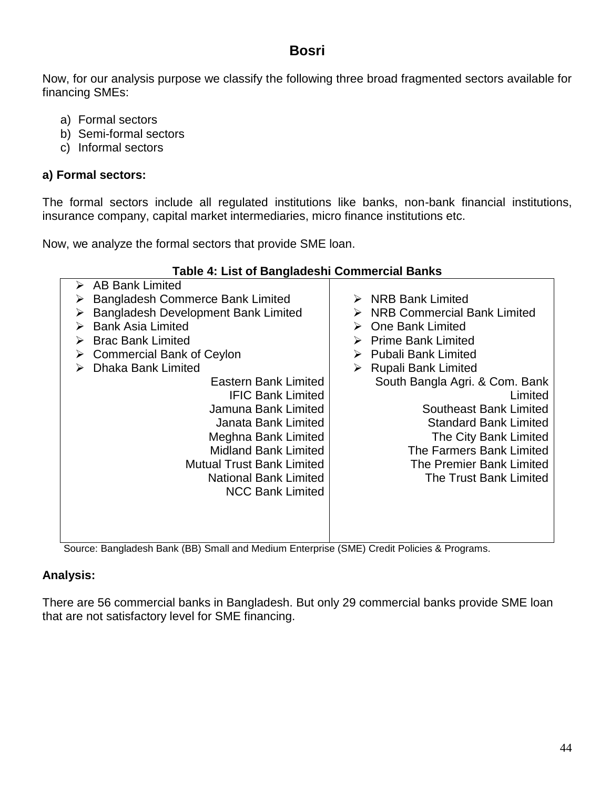Now, for our analysis purpose we classify the following three broad fragmented sectors available for financing SMEs:

- a) Formal sectors
- b) Semi-formal sectors
- c) Informal sectors

#### **a) Formal sectors:**

The formal sectors include all regulated institutions like banks, non-bank financial institutions, insurance company, capital market intermediaries, micro finance institutions etc.

Now, we analyze the formal sectors that provide SME loan.

| Table 4: List of Bangladeshi Commercial Banks |                                                                       |
|-----------------------------------------------|-----------------------------------------------------------------------|
| <b>AB Bank Limited</b><br>➤                   |                                                                       |
| Bangladesh Commerce Bank Limited              | <b>NRB Bank Limited</b>                                               |
| Bangladesh Development Bank Limited           | <b>NRB Commercial Bank Limited</b>                                    |
| <b>Bank Asia Limited</b><br>⋗                 | <b>One Bank Limited</b>                                               |
| <b>Brac Bank Limited</b>                      | <b>Prime Bank Limited</b>                                             |
| <b>Commercial Bank of Ceylon</b><br>➤         | <b>Pubali Bank Limited</b>                                            |
| <b>Dhaka Bank Limited</b><br>➤                | <b>Rupali Bank Limited</b><br>➤                                       |
| Eastern Bank Limited                          | South Bangla Agri. & Com. Bank                                        |
| <b>IFIC Bank Limited</b>                      | Limited                                                               |
| Jamuna Bank Limited                           | <b>Southeast Bank Limited</b>                                         |
| Janata Bank Limited                           | <b>Standard Bank Limited</b>                                          |
| Meghna Bank Limited                           | The City Bank Limited                                                 |
| <b>Midland Bank Limited</b>                   | The Farmers Bank Limited                                              |
| <b>Mutual Trust Bank Limited</b>              | The Premier Bank Limited                                              |
| <b>National Bank Limited</b>                  | The Trust Bank Limited                                                |
| <b>NCC Bank Limited</b>                       |                                                                       |
|                                               |                                                                       |
|                                               |                                                                       |
|                                               |                                                                       |
| $\blacksquare$<br>.                           | $\sim$<br>and the state of the state of the state of<br>$\sim$ $\sim$ |

Source: Bangladesh Bank (BB) Small and Medium Enterprise (SME) Credit Policies & Programs.

# **Analysis:**

There are 56 commercial banks in Bangladesh. But only 29 commercial banks provide SME loan that are not satisfactory level for SME financing.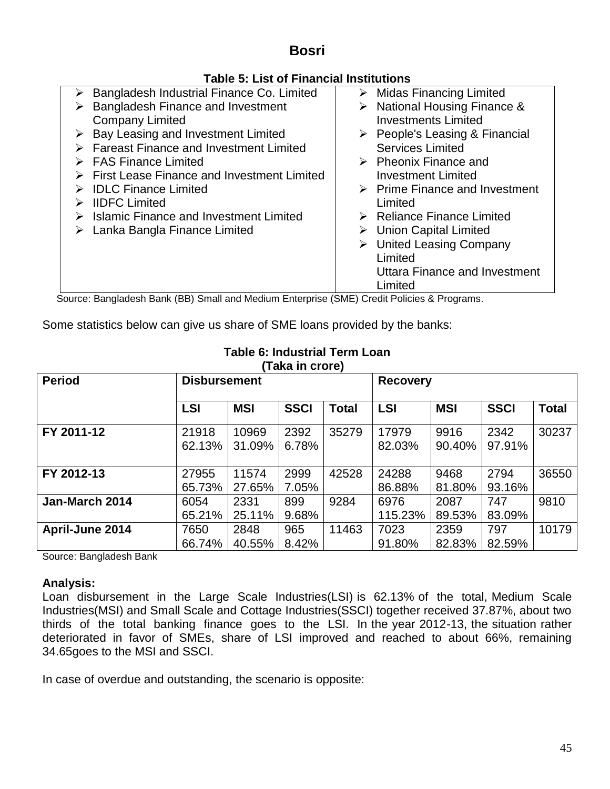# **Table 5: List of Financial Institutions**

| Bangladesh Industrial Finance Co. Limited                                           | $\triangleright$ Midas Financing Limited      |
|-------------------------------------------------------------------------------------|-----------------------------------------------|
| Bangladesh Finance and Investment                                                   | $\triangleright$ National Housing Finance &   |
| <b>Company Limited</b>                                                              | <b>Investments Limited</b>                    |
| $\triangleright$ Bay Leasing and Investment Limited                                 | $\triangleright$ People's Leasing & Financial |
| $\triangleright$ Fareast Finance and Investment Limited                             | <b>Services Limited</b>                       |
| $\triangleright$ FAS Finance Limited                                                | $\triangleright$ Pheonix Finance and          |
| <b>First Lease Finance and Investment Limited</b>                                   | <b>Investment Limited</b>                     |
| $\triangleright$ IDLC Finance Limited                                               | $\triangleright$ Prime Finance and Investment |
| <b>IIDFC Limited</b>                                                                | Limited                                       |
| $\triangleright$ Islamic Finance and Investment Limited                             | $\triangleright$ Reliance Finance Limited     |
| Lanka Bangla Finance Limited                                                        | $\triangleright$ Union Capital Limited        |
|                                                                                     | $\triangleright$ United Leasing Company       |
|                                                                                     | Limited                                       |
|                                                                                     | Uttara Finance and Investment                 |
|                                                                                     | Limited                                       |
| ausa Donaledek Donk (DD) Omal end Medium Faternice (OMF) Osadit Delicies & Dreament |                                               |

Source: Bangladesh Bank (BB) Small and Medium Enterprise (SME) Credit Policies & Programs.

Some statistics below can give us share of SME loans provided by the banks:

| 1 GNG 111 VIVI 61 |                     |                 |               |              |                 |                |                |              |
|-------------------|---------------------|-----------------|---------------|--------------|-----------------|----------------|----------------|--------------|
| <b>Period</b>     | <b>Disbursement</b> |                 |               |              | <b>Recovery</b> |                |                |              |
|                   | <b>LSI</b>          | <b>MSI</b>      | <b>SSCI</b>   | <b>Total</b> | <b>LSI</b>      | <b>MSI</b>     | <b>SSCI</b>    | <b>Total</b> |
| FY 2011-12        | 21918<br>62.13%     | 10969<br>31.09% | 2392<br>6.78% | 35279        | 17979<br>82.03% | 9916<br>90.40% | 2342<br>97.91% | 30237        |
| FY 2012-13        | 27955<br>65.73%     | 11574<br>27.65% | 2999<br>7.05% | 42528        | 24288<br>86.88% | 9468<br>81.80% | 2794<br>93.16% | 36550        |
| Jan-March 2014    | 6054<br>65.21%      | 2331<br>25.11%  | 899<br>9.68%  | 9284         | 6976<br>115.23% | 2087<br>89.53% | 747<br>83.09%  | 9810         |
| April-June 2014   | 7650<br>66.74%      | 2848<br>40.55%  | 965<br>8.42%  | 11463        | 7023<br>91.80%  | 2359<br>82.83% | 797<br>82.59%  | 10179        |

#### **Table 6: Industrial Term Loan (Taka in crore)**

Source: Bangladesh Bank

# **Analysis:**

Loan disbursement in the Large Scale Industries(LSI) is 62.13% of the total, Medium Scale Industries(MSI) and Small Scale and Cottage Industries(SSCI) together received 37.87%, about two thirds of the total banking finance goes to the LSI. In the year 2012-13, the situation rather deteriorated in favor of SMEs, share of LSI improved and reached to about 66%, remaining 34.65goes to the MSI and SSCI.

In case of overdue and outstanding, the scenario is opposite: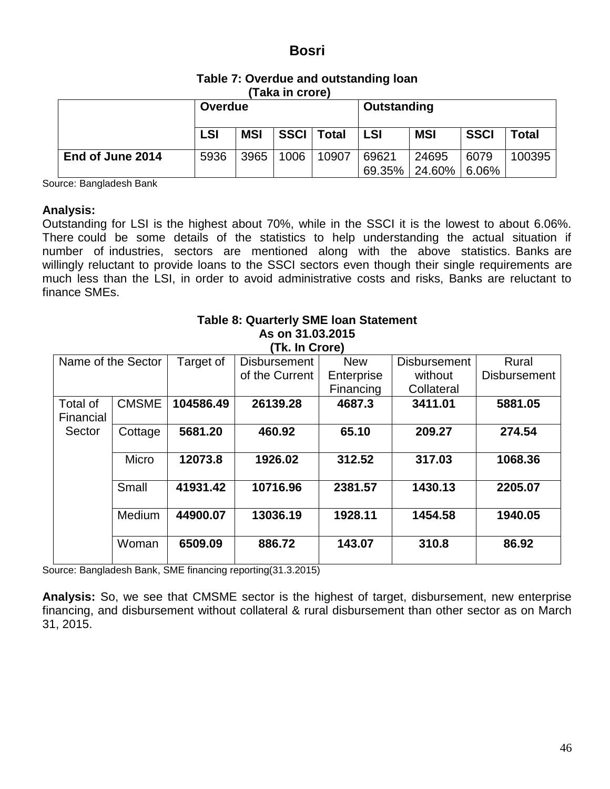| Table 7: Overdue and outstanding loan |
|---------------------------------------|
| (Taka in crore)                       |

| .                |            |            |      |              |             |            |             |              |
|------------------|------------|------------|------|--------------|-------------|------------|-------------|--------------|
|                  | Overdue    |            |      |              | Outstanding |            |             |              |
|                  | <b>LSI</b> | <b>MSI</b> |      | SSCI   Total | <b>LSI</b>  | <b>MSI</b> | <b>SSCI</b> | <b>Total</b> |
| End of June 2014 | 5936       | 3965       | 1006 | 10907        | 69621       | 24695      | 6079        | 100395       |
|                  |            |            |      |              | 69.35%      | 24.60%     | 6.06%       |              |

Source: Bangladesh Bank

#### **Analysis:**

Outstanding for LSI is the highest about 70%, while in the SSCI it is the lowest to about 6.06%. There could be some details of the statistics to help understanding the actual situation if number of industries, sectors are mentioned along with the above statistics. Banks are willingly reluctant to provide loans to the SSCI sectors even though their single requirements are much less than the LSI, in order to avoid administrative costs and risks, Banks are reluctant to finance SMEs.

|                                                                                      |              |           | As on 31.03.2015<br>(Tk. In Crore) |            |            |                     |
|--------------------------------------------------------------------------------------|--------------|-----------|------------------------------------|------------|------------|---------------------|
| Target of<br>Name of the Sector<br><b>New</b><br><b>Disbursement</b><br>Disbursement |              |           |                                    |            | Rural      |                     |
|                                                                                      |              |           | of the Current                     | Enterprise | without    | <b>Disbursement</b> |
|                                                                                      |              |           |                                    | Financing  | Collateral |                     |
| Total of<br>Financial                                                                | <b>CMSME</b> | 104586.49 | 26139.28                           | 4687.3     | 3411.01    | 5881.05             |
| Sector                                                                               | Cottage      | 5681.20   | 460.92                             | 65.10      | 209.27     | 274.54              |
|                                                                                      | Micro        | 12073.8   | 1926.02                            | 312.52     | 317.03     | 1068.36             |
|                                                                                      | Small        | 41931.42  | 10716.96                           | 2381.57    | 1430.13    | 2205.07             |
|                                                                                      | Medium       | 44900.07  | 13036.19                           | 1928.11    | 1454.58    | 1940.05             |
|                                                                                      | Woman        | 6509.09   | 886.72                             | 143.07     | 310.8      | 86.92               |

**Table 8: Quarterly SME loan Statement**

Source: Bangladesh Bank, SME financing reporting(31.3.2015)

**Analysis:** So, we see that CMSME sector is the highest of target, disbursement, new enterprise financing, and disbursement without collateral & rural disbursement than other sector as on March 31, 2015.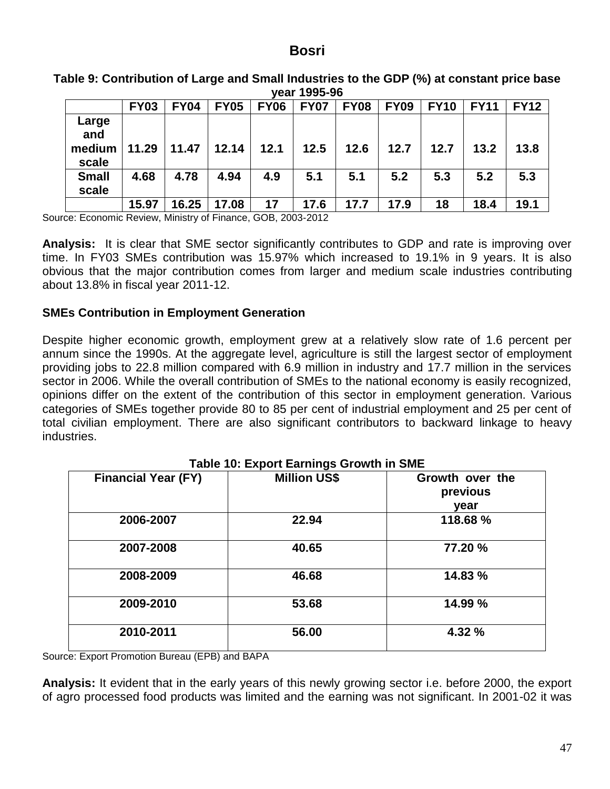| year 1995-96                    |             |             |             |             |             |             |             |             |             |             |
|---------------------------------|-------------|-------------|-------------|-------------|-------------|-------------|-------------|-------------|-------------|-------------|
|                                 | <b>FY03</b> | <b>FY04</b> | <b>FY05</b> | <b>FY06</b> | <b>FY07</b> | <b>FY08</b> | <b>FY09</b> | <b>FY10</b> | <b>FY11</b> | <b>FY12</b> |
| Large<br>and<br>medium<br>scale | 11.29       | 11.47       | 12.14       | 12.1        | 12.5        | 12.6        | 12.7        | 12.7        | 13.2        | 13.8        |
| <b>Small</b>                    | 4.68        | 4.78        | 4.94        | 4.9         | 5.1         | 5.1         | 5.2         | 5.3         | 5.2         | 5.3         |

**Table 9: Contribution of Large and Small Industries to the GDP (%) at constant price base** 

**15.97 16.25 17.08 17 17.6 17.7 17.9 18 18.4 19.1** Source: Economic Review, Ministry of Finance, GOB, 2003-2012

**scale**

**Analysis:** It is clear that SME sector significantly contributes to GDP and rate is improving over time. In FY03 SMEs contribution was 15.97% which increased to 19.1% in 9 years. It is also obvious that the major contribution comes from larger and medium scale industries contributing about 13.8% in fiscal year 2011-12.

#### **SMEs Contribution in Employment Generation**

Despite higher economic growth, employment grew at a relatively slow rate of 1.6 percent per annum since the 1990s. At the aggregate level, agriculture is still the largest sector of employment providing jobs to 22.8 million compared with 6.9 million in industry and 17.7 million in the services sector in 2006. While the overall contribution of SMEs to the national economy is easily recognized, opinions differ on the extent of the contribution of this sector in employment generation. Various categories of SMEs together provide 80 to 85 per cent of industrial employment and 25 per cent of total civilian employment. There are also significant contributors to backward linkage to heavy industries.

| <b>Financial Year (FY)</b> | <b>Million US\$</b> | Growth over the<br>previous<br>year |
|----------------------------|---------------------|-------------------------------------|
| 2006-2007                  | 22.94               | 118.68 %                            |
| 2007-2008                  | 40.65               | 77.20 %                             |
| 2008-2009                  | 46.68               | 14.83 %                             |
| 2009-2010                  | 53.68               | 14.99 %                             |
| 2010-2011                  | 56.00               | 4.32 %                              |

Source: Export Promotion Bureau (EPB) and BAPA

**Analysis:** It evident that in the early years of this newly growing sector i.e. before 2000, the export of agro processed food products was limited and the earning was not significant. In 2001-02 it was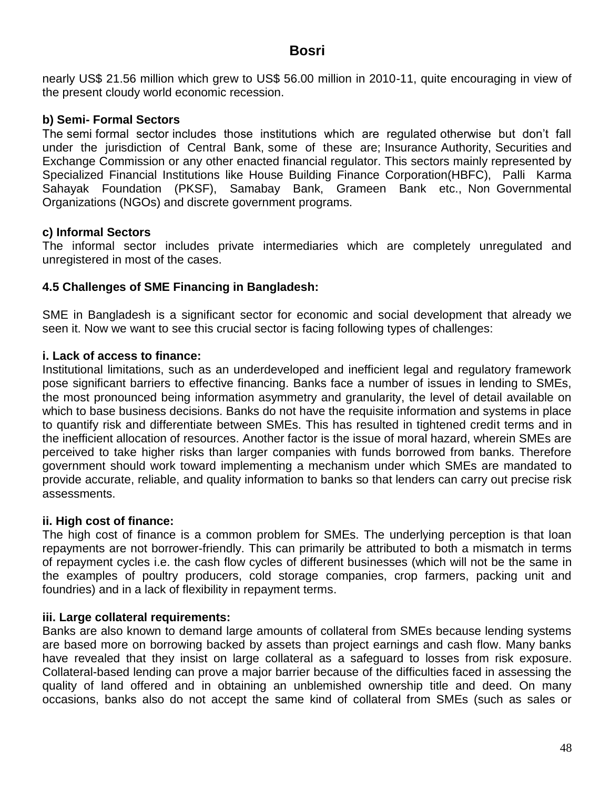nearly US\$ 21.56 million which grew to US\$ 56.00 million in 2010-11, quite encouraging in view of the present cloudy world economic recession.

### **b) Semi- Formal Sectors**

The semi formal sector includes those institutions which are regulated otherwise but don"t fall under the jurisdiction of Central Bank, some of these are; Insurance Authority, Securities and Exchange Commission or any other enacted financial regulator. This sectors mainly represented by Specialized Financial Institutions like House Building Finance Corporation(HBFC), Palli Karma Sahayak Foundation (PKSF), Samabay Bank, Grameen Bank etc., Non Governmental Organizations (NGOs) and discrete government programs.

## **c) Informal Sectors**

The informal sector includes private intermediaries which are completely unregulated and unregistered in most of the cases.

## **4.5 Challenges of SME Financing in Bangladesh:**

SME in Bangladesh is a significant sector for economic and social development that already we seen it. Now we want to see this crucial sector is facing following types of challenges:

## **i. Lack of access to finance:**

Institutional limitations, such as an underdeveloped and inefficient legal and regulatory framework pose significant barriers to effective financing. Banks face a number of issues in lending to SMEs, the most pronounced being information asymmetry and granularity, the level of detail available on which to base business decisions. Banks do not have the requisite information and systems in place to quantify risk and differentiate between SMEs. This has resulted in tightened credit terms and in the inefficient allocation of resources. Another factor is the issue of moral hazard, wherein SMEs are perceived to take higher risks than larger companies with funds borrowed from banks. Therefore government should work toward implementing a mechanism under which SMEs are mandated to provide accurate, reliable, and quality information to banks so that lenders can carry out precise risk assessments.

### **ii. High cost of finance:**

The high cost of finance is a common problem for SMEs. The underlying perception is that loan repayments are not borrower-friendly. This can primarily be attributed to both a mismatch in terms of repayment cycles i.e. the cash flow cycles of different businesses (which will not be the same in the examples of poultry producers, cold storage companies, crop farmers, packing unit and foundries) and in a lack of flexibility in repayment terms.

### **iii. Large collateral requirements:**

Banks are also known to demand large amounts of collateral from SMEs because lending systems are based more on borrowing backed by assets than project earnings and cash flow. Many banks have revealed that they insist on large collateral as a safeguard to losses from risk exposure. Collateral-based lending can prove a major barrier because of the difficulties faced in assessing the quality of land offered and in obtaining an unblemished ownership title and deed. On many occasions, banks also do not accept the same kind of collateral from SMEs (such as sales or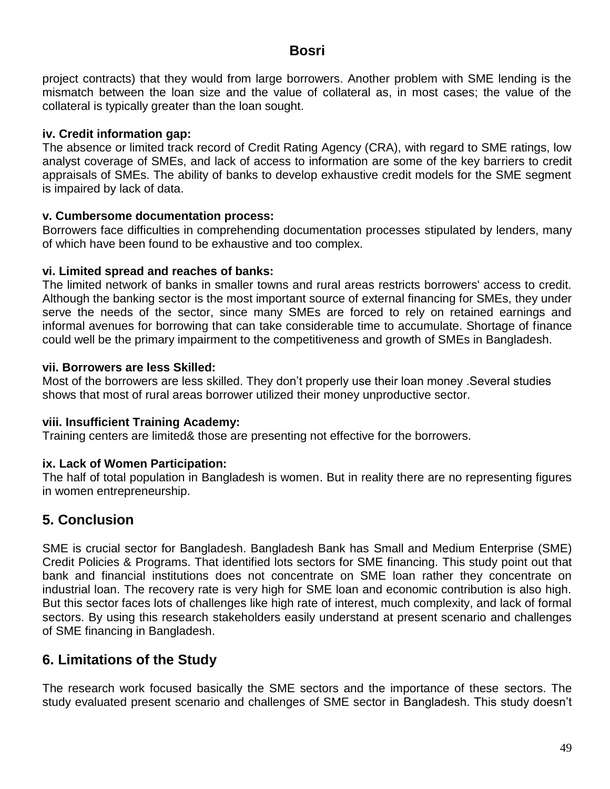project contracts) that they would from large borrowers. Another problem with SME lending is the mismatch between the loan size and the value of collateral as, in most cases; the value of the collateral is typically greater than the loan sought.

### **iv. Credit information gap:**

The absence or limited track record of Credit Rating Agency (CRA), with regard to SME ratings, low analyst coverage of SMEs, and lack of access to information are some of the key barriers to credit appraisals of SMEs. The ability of banks to develop exhaustive credit models for the SME segment is impaired by lack of data.

## **v. Cumbersome documentation process:**

Borrowers face difficulties in comprehending documentation processes stipulated by lenders, many of which have been found to be exhaustive and too complex.

## **vi. Limited spread and reaches of banks:**

The limited network of banks in smaller towns and rural areas restricts borrowers' access to credit. Although the banking sector is the most important source of external financing for SMEs, they under serve the needs of the sector, since many SMEs are forced to rely on retained earnings and informal avenues for borrowing that can take considerable time to accumulate. Shortage of finance could well be the primary impairment to the competitiveness and growth of SMEs in Bangladesh.

## **vii. Borrowers are less Skilled:**

Most of the borrowers are less skilled. They don"t properly use their loan money .Several studies shows that most of rural areas borrower utilized their money unproductive sector.

### **viii. Insufficient Training Academy:**

Training centers are limited& those are presenting not effective for the borrowers.

# **ix. Lack of Women Participation:**

The half of total population in Bangladesh is women. But in reality there are no representing figures in women entrepreneurship.

# **5. Conclusion**

SME is crucial sector for Bangladesh. Bangladesh Bank has Small and Medium Enterprise (SME) Credit Policies & Programs. That identified lots sectors for SME financing. This study point out that bank and financial institutions does not concentrate on SME loan rather they concentrate on industrial loan. The recovery rate is very high for SME loan and economic contribution is also high. But this sector faces lots of challenges like high rate of interest, much complexity, and lack of formal sectors. By using this research stakeholders easily understand at present scenario and challenges of SME financing in Bangladesh.

# **6. Limitations of the Study**

The research work focused basically the SME sectors and the importance of these sectors. The study evaluated present scenario and challenges of SME sector in Bangladesh. This study doesn"t